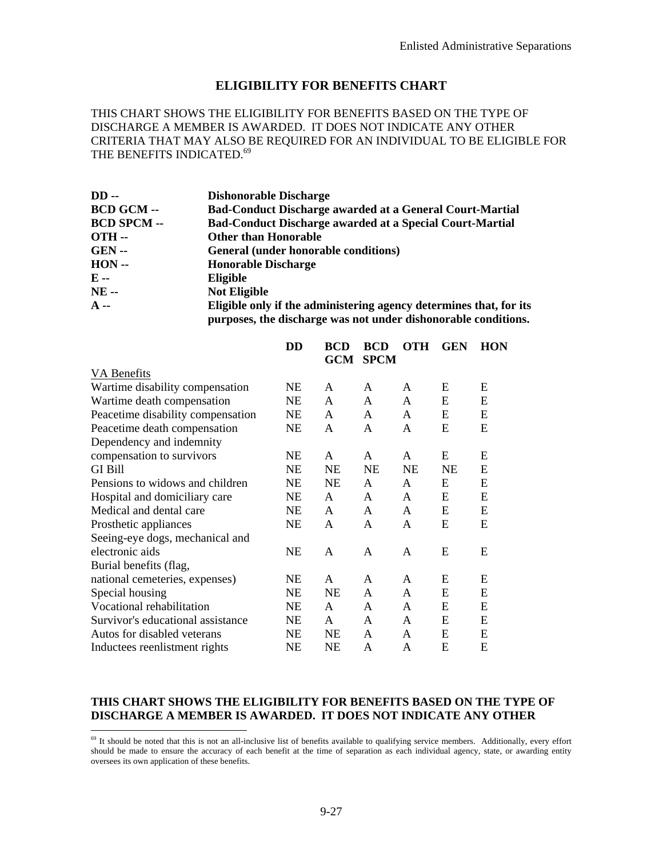## **ELIGIBILITY FOR BENEFITS CHART**

THIS CHART SHOWS THE ELIGIBILITY FOR BENEFITS BASED ON THE TYPE OF DISCHARGE A MEMBER IS AWARDED. IT DOES NOT INDICATE ANY OTHER CRITERIA THAT MAY ALSO BE REQUIRED FOR AN INDIVIDUAL TO BE ELIGIBLE FOR THE BENEFITS INDICATED.<sup>69</sup>

| $DD -$             | <b>Dishonorable Discharge</b>                                                                                                        |
|--------------------|--------------------------------------------------------------------------------------------------------------------------------------|
| <b>BCD GCM --</b>  | <b>Bad-Conduct Discharge awarded at a General Court-Martial</b>                                                                      |
| <b>BCD SPCM --</b> | <b>Bad-Conduct Discharge awarded at a Special Court-Martial</b>                                                                      |
| <b>OTH --</b>      | <b>Other than Honorable</b>                                                                                                          |
| <b>GEN --</b>      | General (under honorable conditions)                                                                                                 |
| $HON -$            | <b>Honorable Discharge</b>                                                                                                           |
| E --               | Eligible                                                                                                                             |
| <b>NE --</b>       | <b>Not Eligible</b>                                                                                                                  |
| $A -$              | Eligible only if the administering agency determines that, for its<br>purposes, the discharge was not under dishonorable conditions. |

|                                   | DD        | <b>BCD</b><br>GCM | <b>BCD</b><br><b>SPCM</b> | <b>OTH</b>   | <b>GEN</b> | <b>HON</b> |
|-----------------------------------|-----------|-------------------|---------------------------|--------------|------------|------------|
| VA Benefits                       |           |                   |                           |              |            |            |
| Wartime disability compensation   | NE        | A                 | A                         | A            | E          | E          |
| Wartime death compensation        | NE        | A                 | A                         | A            | E          | E          |
| Peacetime disability compensation | NE        | A                 | $\mathsf{A}$              | $\mathsf{A}$ | E          | E          |
| Peacetime death compensation      | NE        | A                 | A                         | A            | E          | E          |
| Dependency and indemnity          |           |                   |                           |              |            |            |
| compensation to survivors         | NE        | A                 | A                         | A            | E          | E          |
| <b>GI Bill</b>                    | <b>NE</b> | <b>NE</b>         | <b>NE</b>                 | NE           | NE         | E          |
| Pensions to widows and children   | <b>NE</b> | NE                | A                         | $\mathsf{A}$ | E          | E          |
| Hospital and domiciliary care     | NE        | A                 | A                         | $\mathsf{A}$ | E          | E          |
| Medical and dental care           | NE        | A                 | $\mathsf{A}$              | $\mathsf{A}$ | E          | E          |
| Prosthetic appliances             | NE        | A                 | A                         | A            | E          | E          |
| Seeing-eye dogs, mechanical and   |           |                   |                           |              |            |            |
| electronic aids                   | NE        | A                 | A                         | A            | E          | E          |
| Burial benefits (flag,            |           |                   |                           |              |            |            |
| national cemeteries, expenses)    | NE        | A                 | A                         | A            | E          | E          |
| Special housing                   | NE        | NE                | A                         | A            | E          | E          |
| Vocational rehabilitation         | NE        | $\mathsf{A}$      | A                         | A            | E          | E          |
| Survivor's educational assistance | NE        | A                 | $\mathsf{A}$              | $\mathsf{A}$ | E          | E          |
| Autos for disabled veterans       | NE        | NE                | A                         | $\mathsf{A}$ | E          | E          |
| Inductees reenlistment rights     | NE        | NE                | A                         | A            | E          | E          |

## **THIS CHART SHOWS THE ELIGIBILITY FOR BENEFITS BASED ON THE TYPE OF DISCHARGE A MEMBER IS AWARDED. IT DOES NOT INDICATE ANY OTHER**

-

 $69$  It should be noted that this is not an all-inclusive list of benefits available to qualifying service members. Additionally, every effort should be made to ensure the accuracy of each benefit at the time of separation as each individual agency, state, or awarding entity oversees its own application of these benefits.